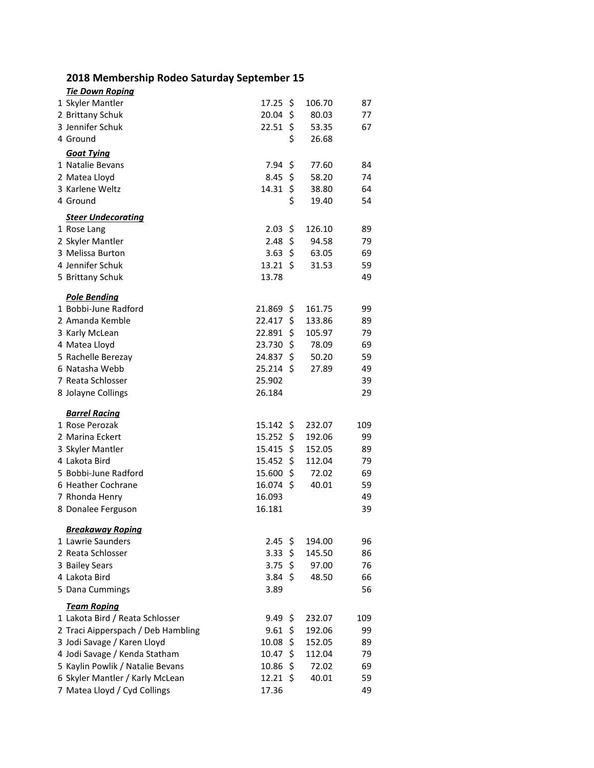## **2018 Membership Rodeo Saturday September 15**

| <b>Tie Down Roping</b>             |                     |     |        |     |
|------------------------------------|---------------------|-----|--------|-----|
| 1 Skyler Mantler                   | $17.25$ \$          |     | 106.70 | 87  |
| 2 Brittany Schuk                   | 20.04 \$            |     | 80.03  | 77  |
| 3 Jennifer Schuk                   | $22.51$ \$          |     | 53.35  | 67  |
| 4 Ground                           |                     | \$  | 26.68  |     |
| <u>Goat Tying</u>                  |                     |     |        |     |
| 1 Natalie Bevans                   | 7.94                | \$  | 77.60  | 84  |
| 2 Matea Lloyd                      | 8.45                | -\$ | 58.20  | 74  |
| 3 Karlene Weltz                    | 14.31               | \$  | 38.80  | 64  |
| 4 Ground                           |                     | \$  | 19.40  | 54  |
| <b>Steer Undecorating</b>          |                     |     |        |     |
| 1 Rose Lang                        | 2.03                | \$  | 126.10 | 89  |
| 2 Skyler Mantler                   | $2.48 \;$ \$        |     | 94.58  | 79  |
| 3 Melissa Burton                   | 3.63 \$             |     | 63.05  | 69  |
| 4 Jennifer Schuk                   | $13.21 \; \text{S}$ |     | 31.53  | 59  |
| 5 Brittany Schuk                   | 13.78               |     |        | 49  |
|                                    |                     |     |        |     |
| <b>Pole Bending</b>                |                     |     |        |     |
| 1 Bobbi-June Radford               | $21.869$ \$         |     | 161.75 | 99  |
| 2 Amanda Kemble                    | 22.417              | \$  | 133.86 | 89  |
| 3 Karly McLean                     | 22.891              | \$  | 105.97 | 79  |
| 4 Matea Lloyd                      | 23.730              | \$  | 78.09  | 69  |
| 5 Rachelle Berezay                 | 24.837 \$           |     | 50.20  | 59  |
| 6 Natasha Webb                     | $25.214$ \$         |     | 27.89  | 49  |
| 7 Reata Schlosser                  | 25.902              |     |        | 39  |
| 8 Jolayne Collings                 | 26.184              |     |        | 29  |
| <b>Barrel Racing</b>               |                     |     |        |     |
| 1 Rose Perozak                     | $15.142 \div$       |     | 232.07 | 109 |
| 2 Marina Eckert                    | $15.252 \div$       |     | 192.06 | 99  |
| 3 Skyler Mantler                   | 15.415              | \$  | 152.05 | 89  |
| 4 Lakota Bird                      | 15.452              | \$  | 112.04 | 79  |
| 5 Bobbi-June Radford               | 15.600              | -\$ | 72.02  | 69  |
| 6 Heather Cochrane                 | $16.074$ \$         |     | 40.01  | 59  |
| 7 Rhonda Henry                     | 16.093              |     |        | 49  |
| 8 Donalee Ferguson                 | 16.181              |     |        | 39  |
|                                    |                     |     |        |     |
| <b>Breakaway Roping</b>            |                     |     |        |     |
| 1 Lawrie Saunders                  | $2.45$ \$           |     | 194.00 | 96  |
| 2 Reata Schlosser                  | 3.33                | \$  | 145.50 | 86  |
| 3 Bailey Sears                     | 3.75                | \$  | 97.00  | 76  |
| 4 Lakota Bird                      | 3.84 \$             |     | 48.50  | 66  |
| 5 Dana Cummings                    | 3.89                |     |        | 56  |
| <b>Team Roping</b>                 |                     |     |        |     |
| 1 Lakota Bird / Reata Schlosser    | 9.49                | -\$ | 232.07 | 109 |
| 2 Traci Aipperspach / Deb Hambling | 9.61                | \$  | 192.06 | 99  |
| 3 Jodi Savage / Karen Lloyd        | 10.08               | \$  | 152.05 | 89  |
| 4 Jodi Savage / Kenda Statham      | 10.47               | \$  | 112.04 | 79  |
| 5 Kaylin Powlik / Natalie Bevans   | 10.86               | \$  | 72.02  | 69  |
| 6 Skyler Mantler / Karly McLean    | 12.21               | \$  | 40.01  | 59  |
| 7 Matea Lloyd / Cyd Collings       | 17.36               |     |        | 49  |